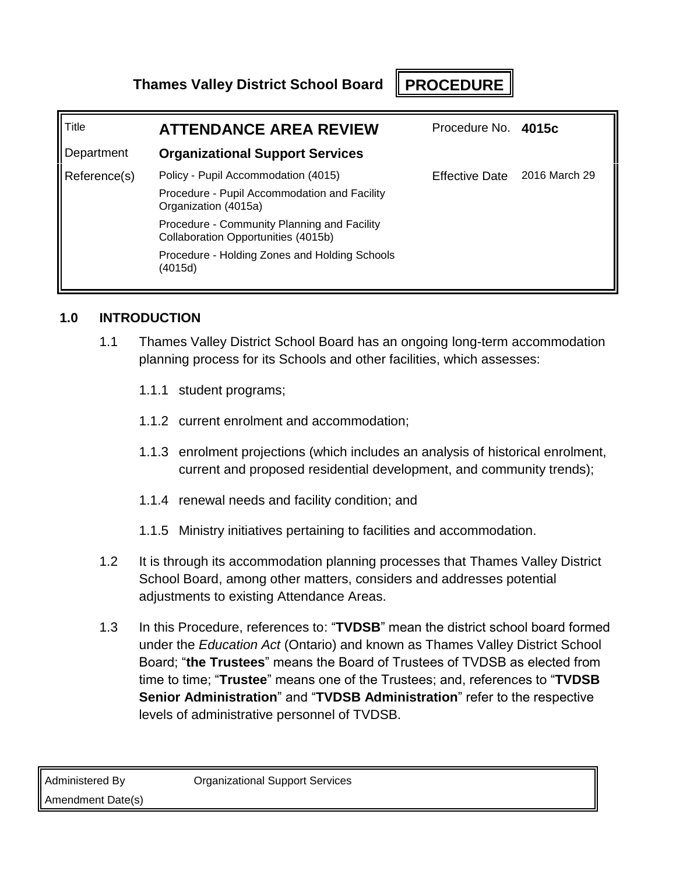**Thames Valley District School Board PROCEDURE**

| Title        | <b>ATTENDANCE AREA REVIEW</b>                                                      | Procedure No. 4015c          |  |
|--------------|------------------------------------------------------------------------------------|------------------------------|--|
| Department   | <b>Organizational Support Services</b>                                             |                              |  |
| Reference(s) | Policy - Pupil Accommodation (4015)                                                | Effective Date 2016 March 29 |  |
|              | Procedure - Pupil Accommodation and Facility<br>Organization (4015a)               |                              |  |
|              | Procedure - Community Planning and Facility<br>Collaboration Opportunities (4015b) |                              |  |
|              | Procedure - Holding Zones and Holding Schools<br>(4015d)                           |                              |  |

# **1.0 INTRODUCTION**

- 1.1 Thames Valley District School Board has an ongoing long-term accommodation planning process for its Schools and other facilities, which assesses:
	- 1.1.1 student programs;
	- 1.1.2 current enrolment and accommodation;
	- 1.1.3 enrolment projections (which includes an analysis of historical enrolment, current and proposed residential development, and community trends);
	- 1.1.4 renewal needs and facility condition; and
	- 1.1.5 Ministry initiatives pertaining to facilities and accommodation.
- 1.2 It is through its accommodation planning processes that Thames Valley District School Board, among other matters, considers and addresses potential adjustments to existing Attendance Areas.
- 1.3 In this Procedure, references to: "**TVDSB**" mean the district school board formed under the *Education Act* (Ontario) and known as Thames Valley District School Board; "**the Trustees**" means the Board of Trustees of TVDSB as elected from time to time; "**Trustee**" means one of the Trustees; and, references to "**TVDSB Senior Administration**" and "**TVDSB Administration**" refer to the respective levels of administrative personnel of TVDSB.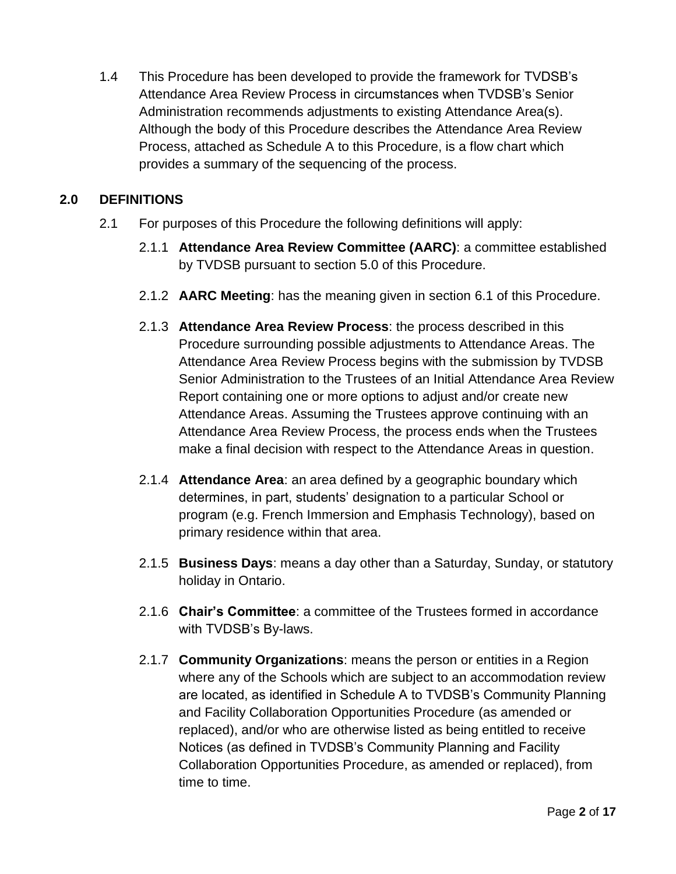1.4 This Procedure has been developed to provide the framework for TVDSB's Attendance Area Review Process in circumstances when TVDSB's Senior Administration recommends adjustments to existing Attendance Area(s). Although the body of this Procedure describes the Attendance Area Review Process, attached as Schedule A to this Procedure, is a flow chart which provides a summary of the sequencing of the process.

# **2.0 DEFINITIONS**

- 2.1 For purposes of this Procedure the following definitions will apply:
	- 2.1.1 **Attendance Area Review Committee (AARC)**: a committee established by TVDSB pursuant to section [5.0](#page-4-0) of this Procedure.
	- 2.1.2 **AARC Meeting**: has the meaning given in section [6.1](#page-6-0) of this Procedure.
	- 2.1.3 **Attendance Area Review Process**: the process described in this Procedure surrounding possible adjustments to Attendance Areas. The Attendance Area Review Process begins with the submission by TVDSB Senior Administration to the Trustees of an Initial Attendance Area Review Report containing one or more options to adjust and/or create new Attendance Areas. Assuming the Trustees approve continuing with an Attendance Area Review Process, the process ends when the Trustees make a final decision with respect to the Attendance Areas in question.
	- 2.1.4 **Attendance Area**: an area defined by a geographic boundary which determines, in part, students' designation to a particular School or program (e.g. French Immersion and Emphasis Technology), based on primary residence within that area.
	- 2.1.5 **Business Days**: means a day other than a Saturday, Sunday, or statutory holiday in Ontario.
	- 2.1.6 **Chair's Committee**: a committee of the Trustees formed in accordance with TVDSB's By-laws.
	- 2.1.7 **Community Organizations**: means the person or entities in a Region where any of the Schools which are subject to an accommodation review are located, as identified in Schedule A to TVDSB's Community Planning and Facility Collaboration Opportunities Procedure (as amended or replaced), and/or who are otherwise listed as being entitled to receive Notices (as defined in TVDSB's Community Planning and Facility Collaboration Opportunities Procedure, as amended or replaced), from time to time.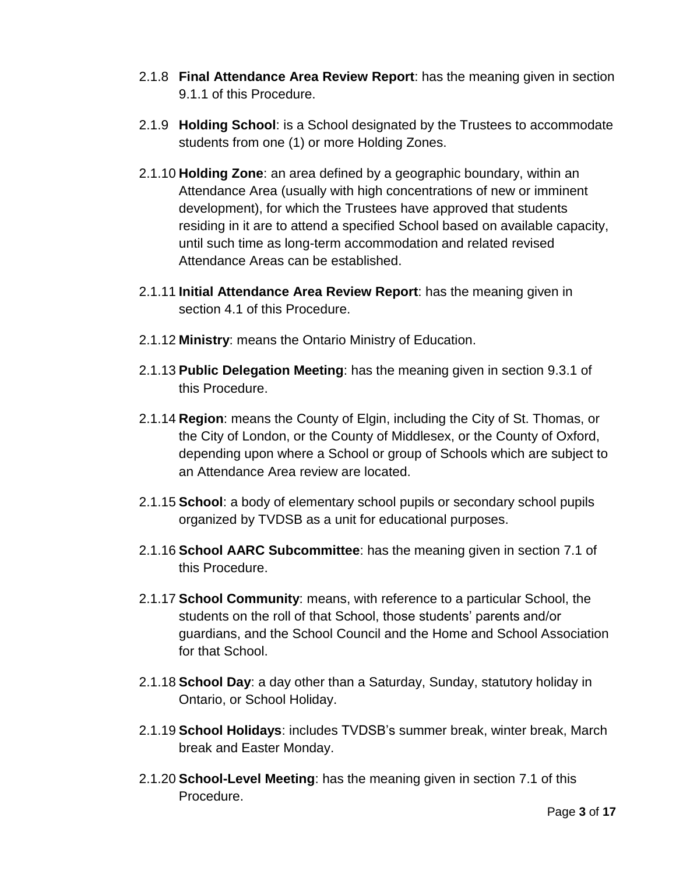- 2.1.8 **Final Attendance Area Review Report**: has the meaning given in section [9.1.1](#page-9-0) of this Procedure.
- 2.1.9 **Holding School**: is a School designated by the Trustees to accommodate students from one (1) or more Holding Zones.
- 2.1.10 **Holding Zone**: an area defined by a geographic boundary, within an Attendance Area (usually with high concentrations of new or imminent development), for which the Trustees have approved that students residing in it are to attend a specified School based on available capacity, until such time as long-term accommodation and related revised Attendance Areas can be established.
- 2.1.11 **Initial Attendance Area Review Report**: has the meaning given in section [4.1](#page-3-0) of this Procedure.
- 2.1.12 **Ministry**: means the Ontario Ministry of Education.
- 2.1.13 **Public Delegation Meeting**: has the meaning given in section [9.3.1](#page-10-0) of this Procedure.
- 2.1.14 **Region**: means the County of Elgin, including the City of St. Thomas, or the City of London, or the County of Middlesex, or the County of Oxford, depending upon where a School or group of Schools which are subject to an Attendance Area review are located.
- 2.1.15 **School**: a body of elementary school pupils or secondary school pupils organized by TVDSB as a unit for educational purposes.
- 2.1.16 **School AARC Subcommittee**: has the meaning given in section [7.1](#page-7-0) of this Procedure.
- 2.1.17 **School Community**: means, with reference to a particular School, the students on the roll of that School, those students' parents and/or guardians, and the School Council and the Home and School Association for that School.
- 2.1.18 **School Day**: a day other than a Saturday, Sunday, statutory holiday in Ontario, or School Holiday.
- 2.1.19 **School Holidays**: includes TVDSB's summer break, winter break, March break and Easter Monday.
- 2.1.20 **School-Level Meeting**: has the meaning given in section [7.1](#page-7-0) of this Procedure.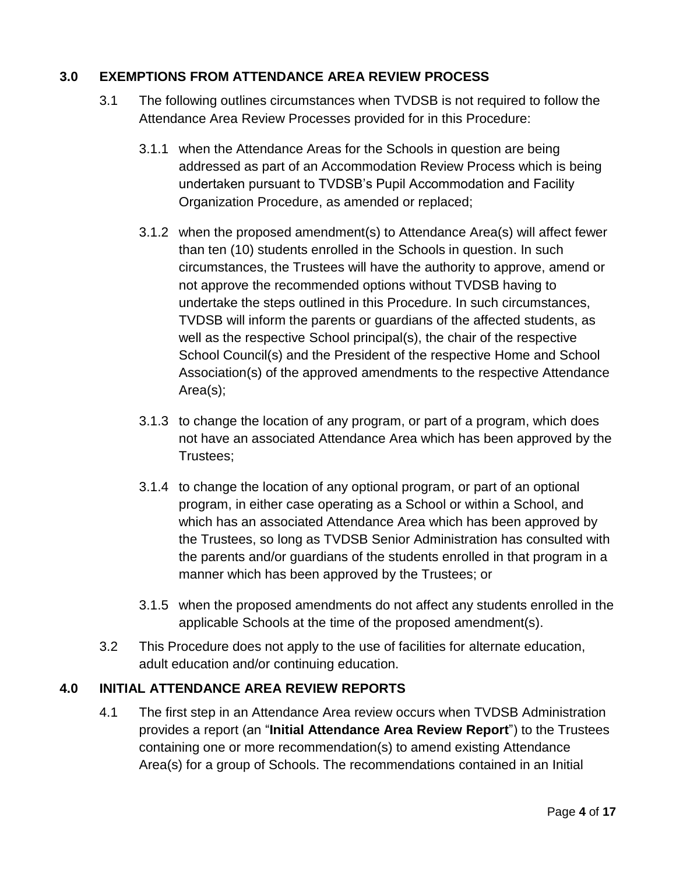### <span id="page-3-1"></span>**3.0 EXEMPTIONS FROM ATTENDANCE AREA REVIEW PROCESS**

- 3.1 The following outlines circumstances when TVDSB is not required to follow the Attendance Area Review Processes provided for in this Procedure:
	- 3.1.1 when the Attendance Areas for the Schools in question are being addressed as part of an Accommodation Review Process which is being undertaken pursuant to TVDSB's Pupil Accommodation and Facility Organization Procedure, as amended or replaced;
	- 3.1.2 when the proposed amendment(s) to Attendance Area(s) will affect fewer than ten (10) students enrolled in the Schools in question. In such circumstances, the Trustees will have the authority to approve, amend or not approve the recommended options without TVDSB having to undertake the steps outlined in this Procedure. In such circumstances, TVDSB will inform the parents or guardians of the affected students, as well as the respective School principal(s), the chair of the respective School Council(s) and the President of the respective Home and School Association(s) of the approved amendments to the respective Attendance Area(s);
	- 3.1.3 to change the location of any program, or part of a program, which does not have an associated Attendance Area which has been approved by the Trustees;
	- 3.1.4 to change the location of any optional program, or part of an optional program, in either case operating as a School or within a School, and which has an associated Attendance Area which has been approved by the Trustees, so long as TVDSB Senior Administration has consulted with the parents and/or guardians of the students enrolled in that program in a manner which has been approved by the Trustees; or
	- 3.1.5 when the proposed amendments do not affect any students enrolled in the applicable Schools at the time of the proposed amendment(s).
- 3.2 This Procedure does not apply to the use of facilities for alternate education, adult education and/or continuing education.

## <span id="page-3-0"></span>**4.0 INITIAL ATTENDANCE AREA REVIEW REPORTS**

4.1 The first step in an Attendance Area review occurs when TVDSB Administration provides a report (an "**Initial Attendance Area Review Report**") to the Trustees containing one or more recommendation(s) to amend existing Attendance Area(s) for a group of Schools. The recommendations contained in an Initial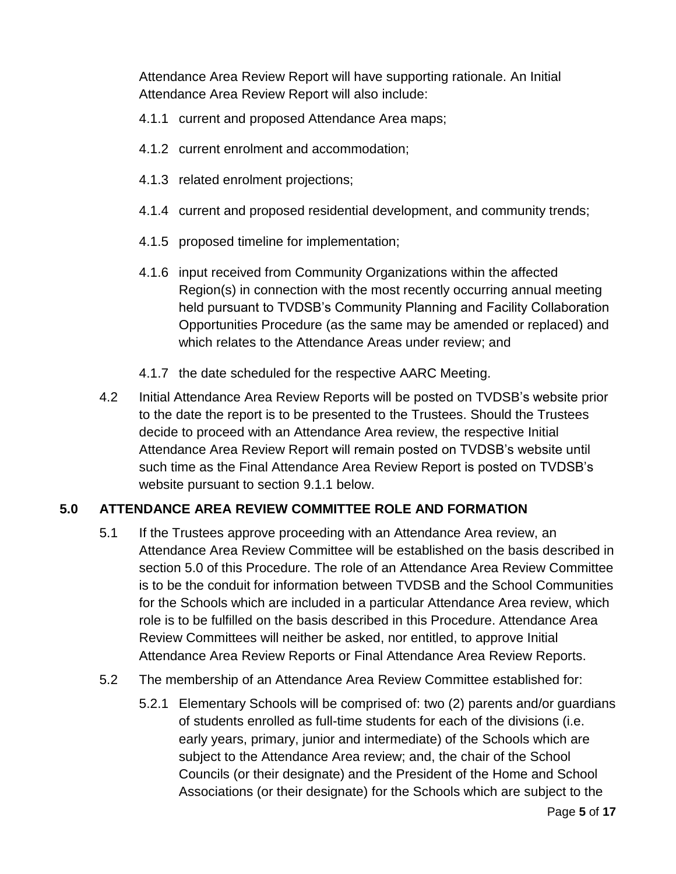Attendance Area Review Report will have supporting rationale. An Initial Attendance Area Review Report will also include:

- 4.1.1 current and proposed Attendance Area maps;
- 4.1.2 current enrolment and accommodation;
- 4.1.3 related enrolment projections;
- 4.1.4 current and proposed residential development, and community trends;
- 4.1.5 proposed timeline for implementation;
- 4.1.6 input received from Community Organizations within the affected Region(s) in connection with the most recently occurring annual meeting held pursuant to TVDSB's Community Planning and Facility Collaboration Opportunities Procedure (as the same may be amended or replaced) and which relates to the Attendance Areas under review; and
- 4.1.7 the date scheduled for the respective AARC Meeting.
- 4.2 Initial Attendance Area Review Reports will be posted on TVDSB's website prior to the date the report is to be presented to the Trustees. Should the Trustees decide to proceed with an Attendance Area review, the respective Initial Attendance Area Review Report will remain posted on TVDSB's website until such time as the Final Attendance Area Review Report is posted on TVDSB's website pursuant to section [9.1.1](#page-9-0) below.

## <span id="page-4-0"></span>**5.0 ATTENDANCE AREA REVIEW COMMITTEE ROLE AND FORMATION**

- 5.1 If the Trustees approve proceeding with an Attendance Area review, an Attendance Area Review Committee will be established on the basis described in section [5.0](#page-4-0) of this Procedure. The role of an Attendance Area Review Committee is to be the conduit for information between TVDSB and the School Communities for the Schools which are included in a particular Attendance Area review, which role is to be fulfilled on the basis described in this Procedure. Attendance Area Review Committees will neither be asked, nor entitled, to approve Initial Attendance Area Review Reports or Final Attendance Area Review Reports.
- <span id="page-4-2"></span><span id="page-4-1"></span>5.2 The membership of an Attendance Area Review Committee established for:
	- 5.2.1 Elementary Schools will be comprised of: two (2) parents and/or guardians of students enrolled as full-time students for each of the divisions (i.e. early years, primary, junior and intermediate) of the Schools which are subject to the Attendance Area review; and, the chair of the School Councils (or their designate) and the President of the Home and School Associations (or their designate) for the Schools which are subject to the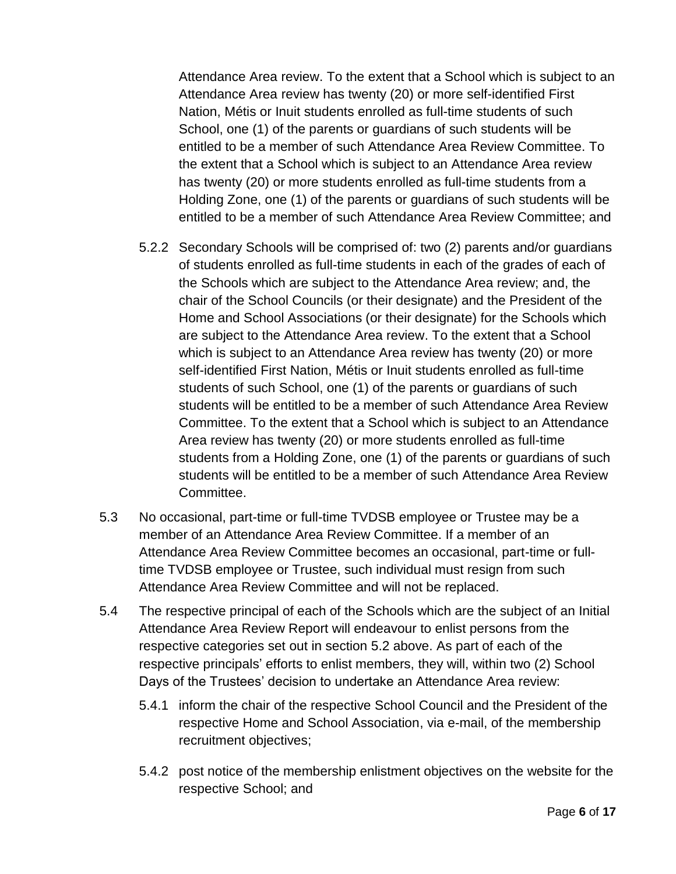Attendance Area review. To the extent that a School which is subject to an Attendance Area review has twenty (20) or more self-identified First Nation, Métis or Inuit students enrolled as full-time students of such School, one (1) of the parents or guardians of such students will be entitled to be a member of such Attendance Area Review Committee. To the extent that a School which is subject to an Attendance Area review has twenty (20) or more students enrolled as full-time students from a Holding Zone, one (1) of the parents or guardians of such students will be entitled to be a member of such Attendance Area Review Committee; and

- <span id="page-5-0"></span>5.2.2 Secondary Schools will be comprised of: two (2) parents and/or guardians of students enrolled as full-time students in each of the grades of each of the Schools which are subject to the Attendance Area review; and, the chair of the School Councils (or their designate) and the President of the Home and School Associations (or their designate) for the Schools which are subject to the Attendance Area review. To the extent that a School which is subject to an Attendance Area review has twenty (20) or more self-identified First Nation, Métis or Inuit students enrolled as full-time students of such School, one (1) of the parents or guardians of such students will be entitled to be a member of such Attendance Area Review Committee. To the extent that a School which is subject to an Attendance Area review has twenty (20) or more students enrolled as full-time students from a Holding Zone, one (1) of the parents or guardians of such students will be entitled to be a member of such Attendance Area Review Committee.
- 5.3 No occasional, part-time or full-time TVDSB employee or Trustee may be a member of an Attendance Area Review Committee. If a member of an Attendance Area Review Committee becomes an occasional, part-time or fulltime TVDSB employee or Trustee, such individual must resign from such Attendance Area Review Committee and will not be replaced.
- 5.4 The respective principal of each of the Schools which are the subject of an Initial Attendance Area Review Report will endeavour to enlist persons from the respective categories set out in section [5.2](#page-4-1) above. As part of each of the respective principals' efforts to enlist members, they will, within two (2) School Days of the Trustees' decision to undertake an Attendance Area review:
	- 5.4.1 inform the chair of the respective School Council and the President of the respective Home and School Association, via e-mail, of the membership recruitment objectives;
	- 5.4.2 post notice of the membership enlistment objectives on the website for the respective School; and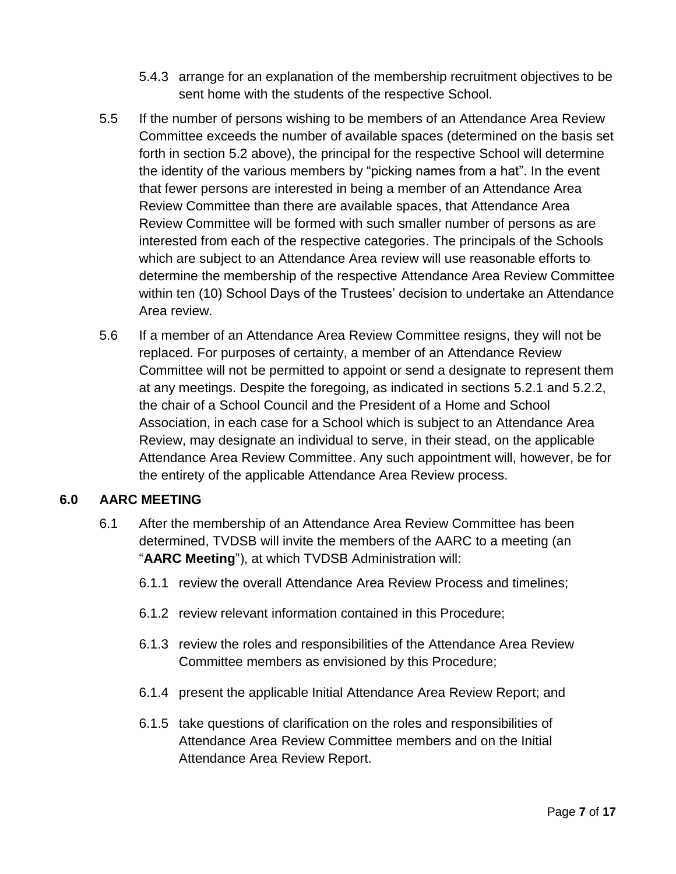- 5.4.3 arrange for an explanation of the membership recruitment objectives to be sent home with the students of the respective School.
- 5.5 If the number of persons wishing to be members of an Attendance Area Review Committee exceeds the number of available spaces (determined on the basis set forth in section [5.2](#page-4-1) above), the principal for the respective School will determine the identity of the various members by "picking names from a hat". In the event that fewer persons are interested in being a member of an Attendance Area Review Committee than there are available spaces, that Attendance Area Review Committee will be formed with such smaller number of persons as are interested from each of the respective categories. The principals of the Schools which are subject to an Attendance Area review will use reasonable efforts to determine the membership of the respective Attendance Area Review Committee within ten (10) School Days of the Trustees' decision to undertake an Attendance Area review.
- 5.6 If a member of an Attendance Area Review Committee resigns, they will not be replaced. For purposes of certainty, a member of an Attendance Review Committee will not be permitted to appoint or send a designate to represent them at any meetings. Despite the foregoing, as indicated in sections [5.2.1](#page-4-2) and [5.2.2,](#page-5-0) the chair of a School Council and the President of a Home and School Association, in each case for a School which is subject to an Attendance Area Review, may designate an individual to serve, in their stead, on the applicable Attendance Area Review Committee. Any such appointment will, however, be for the entirety of the applicable Attendance Area Review process.

#### <span id="page-6-0"></span>**6.0 AARC MEETING**

- 6.1 After the membership of an Attendance Area Review Committee has been determined, TVDSB will invite the members of the AARC to a meeting (an "**AARC Meeting**"), at which TVDSB Administration will:
	- 6.1.1 review the overall Attendance Area Review Process and timelines;
	- 6.1.2 review relevant information contained in this Procedure;
	- 6.1.3 review the roles and responsibilities of the Attendance Area Review Committee members as envisioned by this Procedure;
	- 6.1.4 present the applicable Initial Attendance Area Review Report; and
	- 6.1.5 take questions of clarification on the roles and responsibilities of Attendance Area Review Committee members and on the Initial Attendance Area Review Report.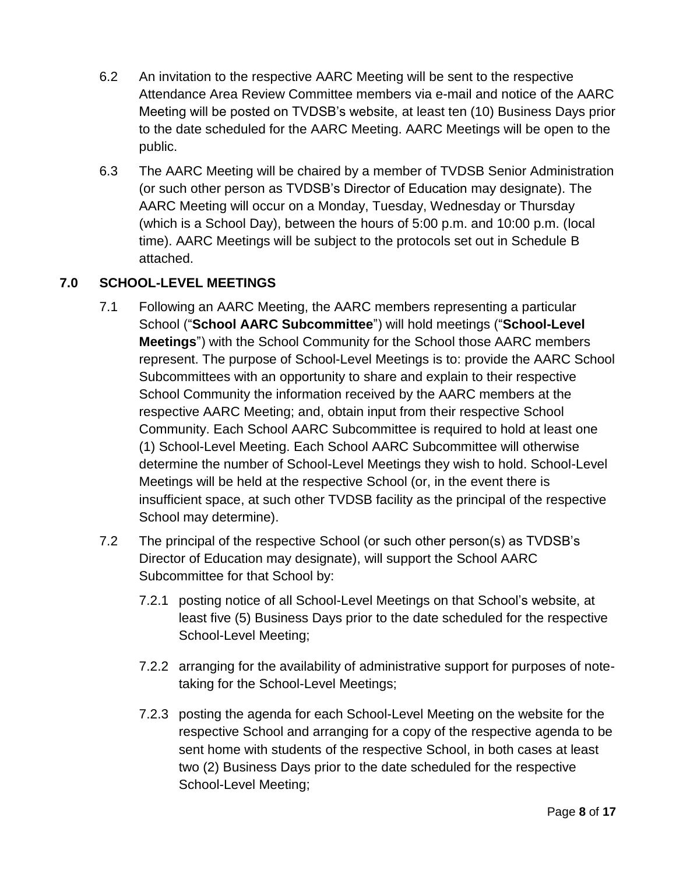- 6.2 An invitation to the respective AARC Meeting will be sent to the respective Attendance Area Review Committee members via e-mail and notice of the AARC Meeting will be posted on TVDSB's website, at least ten (10) Business Days prior to the date scheduled for the AARC Meeting. AARC Meetings will be open to the public.
- 6.3 The AARC Meeting will be chaired by a member of TVDSB Senior Administration (or such other person as TVDSB's Director of Education may designate). The AARC Meeting will occur on a Monday, Tuesday, Wednesday or Thursday (which is a School Day), between the hours of 5:00 p.m. and 10:00 p.m. (local time). AARC Meetings will be subject to the protocols set out in Schedule B attached.

# <span id="page-7-0"></span>**7.0 SCHOOL-LEVEL MEETINGS**

- 7.1 Following an AARC Meeting, the AARC members representing a particular School ("**School AARC Subcommittee**") will hold meetings ("**School-Level Meetings**") with the School Community for the School those AARC members represent. The purpose of School-Level Meetings is to: provide the AARC School Subcommittees with an opportunity to share and explain to their respective School Community the information received by the AARC members at the respective AARC Meeting; and, obtain input from their respective School Community. Each School AARC Subcommittee is required to hold at least one (1) School-Level Meeting. Each School AARC Subcommittee will otherwise determine the number of School-Level Meetings they wish to hold. School-Level Meetings will be held at the respective School (or, in the event there is insufficient space, at such other TVDSB facility as the principal of the respective School may determine).
- 7.2 The principal of the respective School (or such other person(s) as TVDSB's Director of Education may designate), will support the School AARC Subcommittee for that School by:
	- 7.2.1 posting notice of all School-Level Meetings on that School's website, at least five (5) Business Days prior to the date scheduled for the respective School-Level Meeting;
	- 7.2.2 arranging for the availability of administrative support for purposes of notetaking for the School-Level Meetings;
	- 7.2.3 posting the agenda for each School-Level Meeting on the website for the respective School and arranging for a copy of the respective agenda to be sent home with students of the respective School, in both cases at least two (2) Business Days prior to the date scheduled for the respective School-Level Meeting;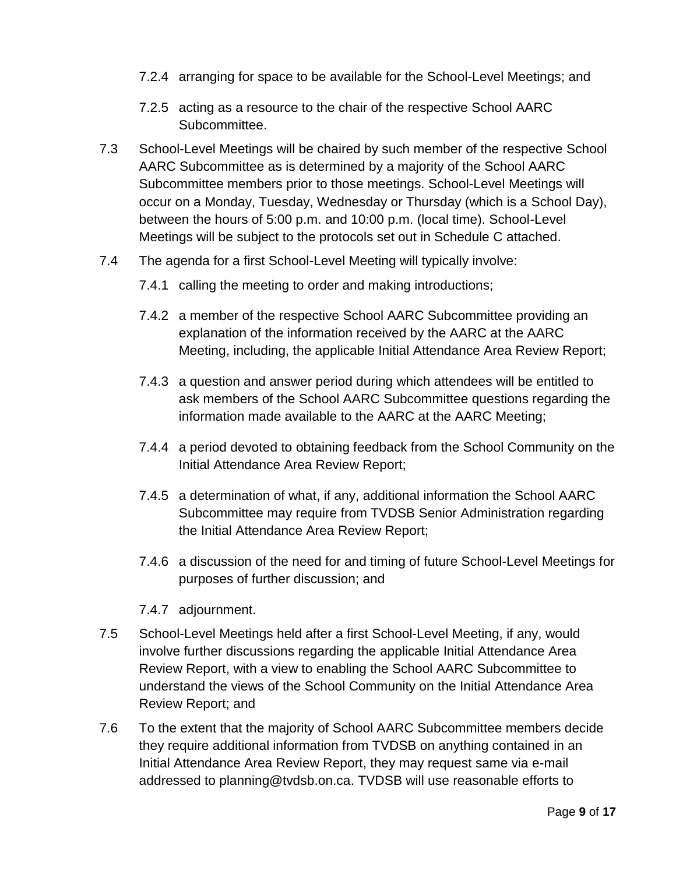- 7.2.4 arranging for space to be available for the School-Level Meetings; and
- 7.2.5 acting as a resource to the chair of the respective School AARC Subcommittee.
- 7.3 School-Level Meetings will be chaired by such member of the respective School AARC Subcommittee as is determined by a majority of the School AARC Subcommittee members prior to those meetings. School-Level Meetings will occur on a Monday, Tuesday, Wednesday or Thursday (which is a School Day), between the hours of 5:00 p.m. and 10:00 p.m. (local time). School-Level Meetings will be subject to the protocols set out in Schedule C attached.
- 7.4 The agenda for a first School-Level Meeting will typically involve:
	- 7.4.1 calling the meeting to order and making introductions;
	- 7.4.2 a member of the respective School AARC Subcommittee providing an explanation of the information received by the AARC at the AARC Meeting, including, the applicable Initial Attendance Area Review Report;
	- 7.4.3 a question and answer period during which attendees will be entitled to ask members of the School AARC Subcommittee questions regarding the information made available to the AARC at the AARC Meeting;
	- 7.4.4 a period devoted to obtaining feedback from the School Community on the Initial Attendance Area Review Report;
	- 7.4.5 a determination of what, if any, additional information the School AARC Subcommittee may require from TVDSB Senior Administration regarding the Initial Attendance Area Review Report;
	- 7.4.6 a discussion of the need for and timing of future School-Level Meetings for purposes of further discussion; and
	- 7.4.7 adjournment.
- 7.5 School-Level Meetings held after a first School-Level Meeting, if any, would involve further discussions regarding the applicable Initial Attendance Area Review Report, with a view to enabling the School AARC Subcommittee to understand the views of the School Community on the Initial Attendance Area Review Report; and
- 7.6 To the extent that the majority of School AARC Subcommittee members decide they require additional information from TVDSB on anything contained in an Initial Attendance Area Review Report, they may request same via e-mail addressed to planning@tvdsb.on.ca. TVDSB will use reasonable efforts to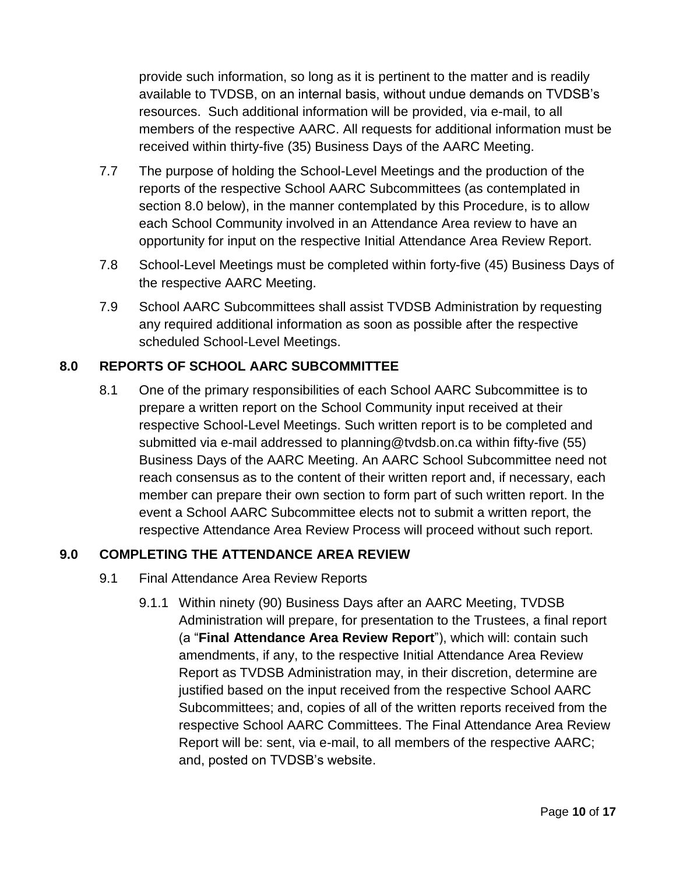provide such information, so long as it is pertinent to the matter and is readily available to TVDSB, on an internal basis, without undue demands on TVDSB's resources. Such additional information will be provided, via e-mail, to all members of the respective AARC. All requests for additional information must be received within thirty-five (35) Business Days of the AARC Meeting.

- 7.7 The purpose of holding the School-Level Meetings and the production of the reports of the respective School AARC Subcommittees (as contemplated in section [8.0](#page-9-1) below), in the manner contemplated by this Procedure, is to allow each School Community involved in an Attendance Area review to have an opportunity for input on the respective Initial Attendance Area Review Report.
- 7.8 School-Level Meetings must be completed within forty-five (45) Business Days of the respective AARC Meeting.
- 7.9 School AARC Subcommittees shall assist TVDSB Administration by requesting any required additional information as soon as possible after the respective scheduled School-Level Meetings.

# <span id="page-9-1"></span>**8.0 REPORTS OF SCHOOL AARC SUBCOMMITTEE**

8.1 One of the primary responsibilities of each School AARC Subcommittee is to prepare a written report on the School Community input received at their respective School-Level Meetings. Such written report is to be completed and submitted via e-mail addressed to planning@tvdsb.on.ca within fifty-five (55) Business Days of the AARC Meeting. An AARC School Subcommittee need not reach consensus as to the content of their written report and, if necessary, each member can prepare their own section to form part of such written report. In the event a School AARC Subcommittee elects not to submit a written report, the respective Attendance Area Review Process will proceed without such report.

## <span id="page-9-0"></span>**9.0 COMPLETING THE ATTENDANCE AREA REVIEW**

- 9.1 Final Attendance Area Review Reports
	- 9.1.1 Within ninety (90) Business Days after an AARC Meeting, TVDSB Administration will prepare, for presentation to the Trustees, a final report (a "**Final Attendance Area Review Report**"), which will: contain such amendments, if any, to the respective Initial Attendance Area Review Report as TVDSB Administration may, in their discretion, determine are justified based on the input received from the respective School AARC Subcommittees; and, copies of all of the written reports received from the respective School AARC Committees. The Final Attendance Area Review Report will be: sent, via e-mail, to all members of the respective AARC; and, posted on TVDSB's website.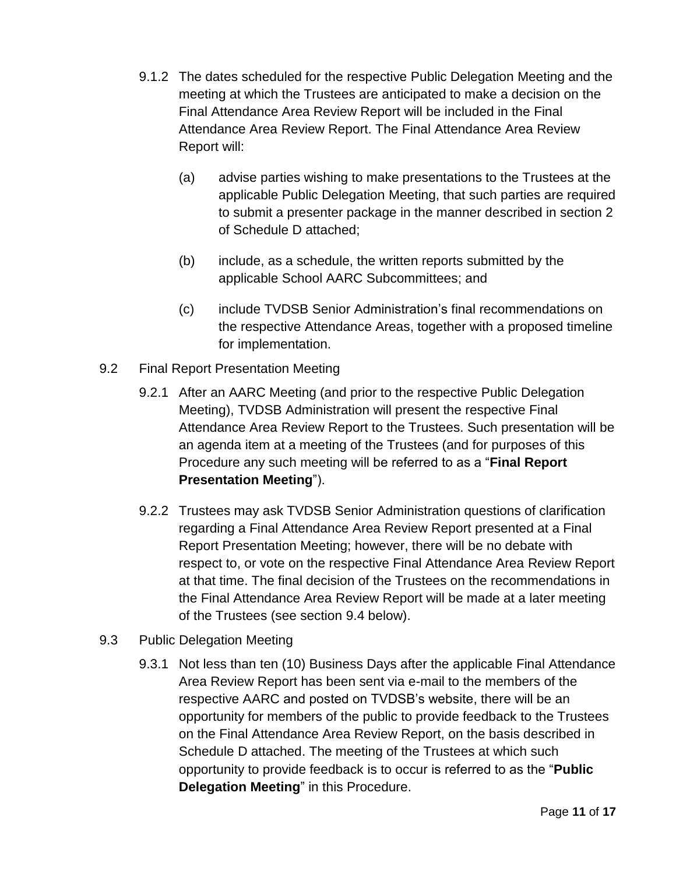- 9.1.2 The dates scheduled for the respective Public Delegation Meeting and the meeting at which the Trustees are anticipated to make a decision on the Final Attendance Area Review Report will be included in the Final Attendance Area Review Report. The Final Attendance Area Review Report will:
	- (a) advise parties wishing to make presentations to the Trustees at the applicable Public Delegation Meeting, that such parties are required to submit a presenter package in the manner described in section 2 of Schedule D attached;
	- (b) include, as a schedule, the written reports submitted by the applicable School AARC Subcommittees; and
	- (c) include TVDSB Senior Administration's final recommendations on the respective Attendance Areas, together with a proposed timeline for implementation.
- 9.2 Final Report Presentation Meeting
	- 9.2.1 After an AARC Meeting (and prior to the respective Public Delegation Meeting), TVDSB Administration will present the respective Final Attendance Area Review Report to the Trustees. Such presentation will be an agenda item at a meeting of the Trustees (and for purposes of this Procedure any such meeting will be referred to as a "**Final Report Presentation Meeting**").
	- 9.2.2 Trustees may ask TVDSB Senior Administration questions of clarification regarding a Final Attendance Area Review Report presented at a Final Report Presentation Meeting; however, there will be no debate with respect to, or vote on the respective Final Attendance Area Review Report at that time. The final decision of the Trustees on the recommendations in the Final Attendance Area Review Report will be made at a later meeting of the Trustees (see section [9.4](#page-11-0) below).
- <span id="page-10-0"></span>9.3 Public Delegation Meeting
	- 9.3.1 Not less than ten (10) Business Days after the applicable Final Attendance Area Review Report has been sent via e-mail to the members of the respective AARC and posted on TVDSB's website, there will be an opportunity for members of the public to provide feedback to the Trustees on the Final Attendance Area Review Report, on the basis described in Schedule D attached. The meeting of the Trustees at which such opportunity to provide feedback is to occur is referred to as the "**Public Delegation Meeting**" in this Procedure.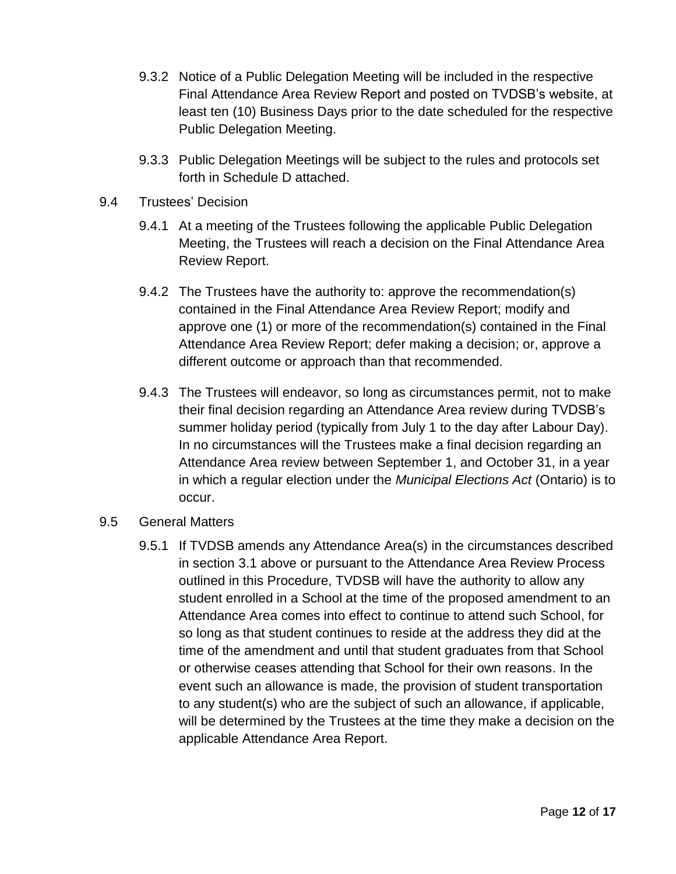- 9.3.2 Notice of a Public Delegation Meeting will be included in the respective Final Attendance Area Review Report and posted on TVDSB's website, at least ten (10) Business Days prior to the date scheduled for the respective Public Delegation Meeting.
- 9.3.3 Public Delegation Meetings will be subject to the rules and protocols set forth in Schedule D attached.
- <span id="page-11-0"></span>9.4 Trustees' Decision
	- 9.4.1 At a meeting of the Trustees following the applicable Public Delegation Meeting, the Trustees will reach a decision on the Final Attendance Area Review Report.
	- 9.4.2 The Trustees have the authority to: approve the recommendation(s) contained in the Final Attendance Area Review Report; modify and approve one (1) or more of the recommendation(s) contained in the Final Attendance Area Review Report; defer making a decision; or, approve a different outcome or approach than that recommended.
	- 9.4.3 The Trustees will endeavor, so long as circumstances permit, not to make their final decision regarding an Attendance Area review during TVDSB's summer holiday period (typically from July 1 to the day after Labour Day). In no circumstances will the Trustees make a final decision regarding an Attendance Area review between September 1, and October 31, in a year in which a regular election under the *Municipal Elections Act* (Ontario) is to occur.
- 9.5 General Matters
	- 9.5.1 If TVDSB amends any Attendance Area(s) in the circumstances described in section [3.1](#page-3-1) above or pursuant to the Attendance Area Review Process outlined in this Procedure, TVDSB will have the authority to allow any student enrolled in a School at the time of the proposed amendment to an Attendance Area comes into effect to continue to attend such School, for so long as that student continues to reside at the address they did at the time of the amendment and until that student graduates from that School or otherwise ceases attending that School for their own reasons. In the event such an allowance is made, the provision of student transportation to any student(s) who are the subject of such an allowance, if applicable, will be determined by the Trustees at the time they make a decision on the applicable Attendance Area Report.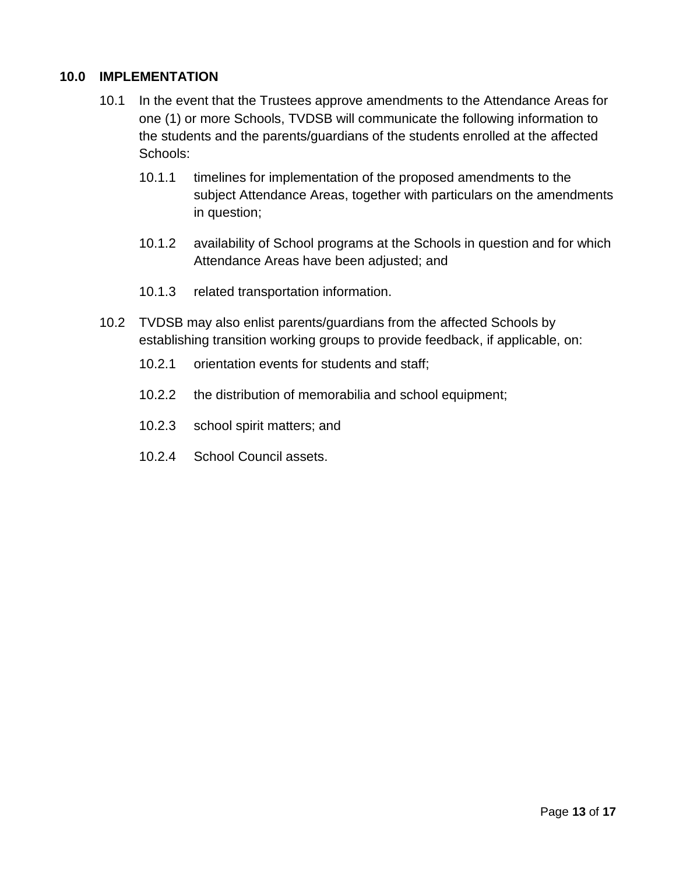#### **10.0 IMPLEMENTATION**

- 10.1 In the event that the Trustees approve amendments to the Attendance Areas for one (1) or more Schools, TVDSB will communicate the following information to the students and the parents/guardians of the students enrolled at the affected Schools:
	- 10.1.1 timelines for implementation of the proposed amendments to the subject Attendance Areas, together with particulars on the amendments in question;
	- 10.1.2 availability of School programs at the Schools in question and for which Attendance Areas have been adjusted; and
	- 10.1.3 related transportation information.
- 10.2 TVDSB may also enlist parents/guardians from the affected Schools by establishing transition working groups to provide feedback, if applicable, on:
	- 10.2.1 orientation events for students and staff;
	- 10.2.2 the distribution of memorabilia and school equipment;
	- 10.2.3 school spirit matters; and
	- 10.2.4 School Council assets.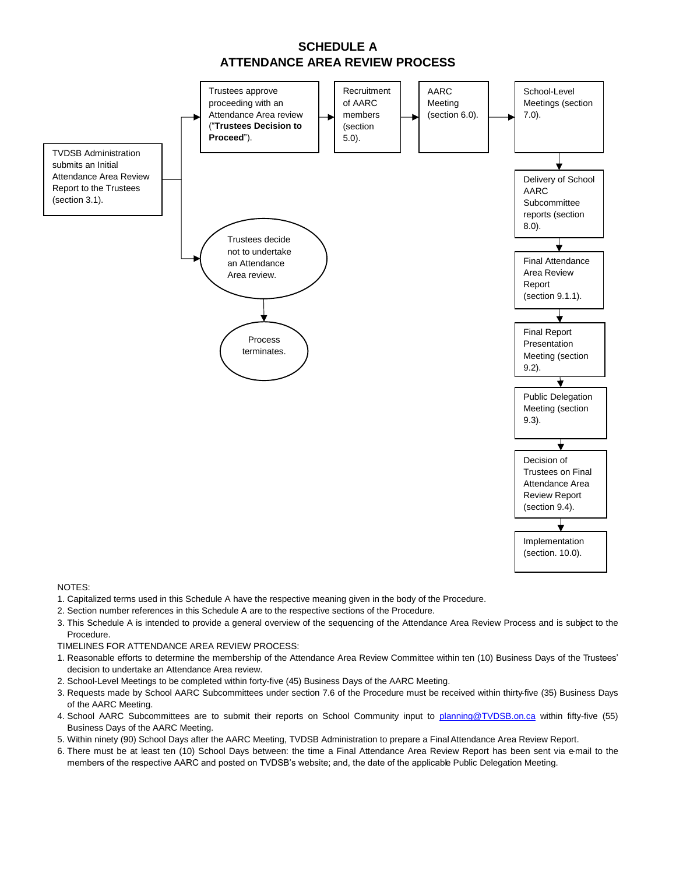



NOTES:

- 1. Capitalized terms used in this Schedule A have the respective meaning given in the body of the Procedure.
- 2. Section number references in this Schedule A are to the respective sections of the Procedure.
- 3. This Schedule A is intended to provide a general overview of the sequencing of the Attendance Area Review Process and is subject to the Procedure.
- TIMELINES FOR ATTENDANCE AREA REVIEW PROCESS:
- 1. Reasonable efforts to determine the membership of the Attendance Area Review Committee within ten (10) Business Days of the Trustees' decision to undertake an Attendance Area review.
- 2. School-Level Meetings to be completed within forty-five (45) Business Days of the AARC Meeting.
- 3. Requests made by School AARC Subcommittees under section 7.6 of the Procedure must be received within thirty-five (35) Business Days of the AARC Meeting.
- 4. School AARC Subcommittees are to submit their reports on School Community input to [planning@TVDSB.on.ca](mailto:planning@TVDSB.on.ca) within fifty-five (55) Business Days of the AARC Meeting.
- 5. Within ninety (90) School Days after the AARC Meeting, TVDSB Administration to prepare a FinalAttendance Area Review Report.
- 6. There must be at least ten (10) School Days between: the time a Final Attendance Area Review Report has been sent via e-mail to the members of the respective AARC and posted on TVDSB's website; and, the date of the applicable Public Delegation Meeting.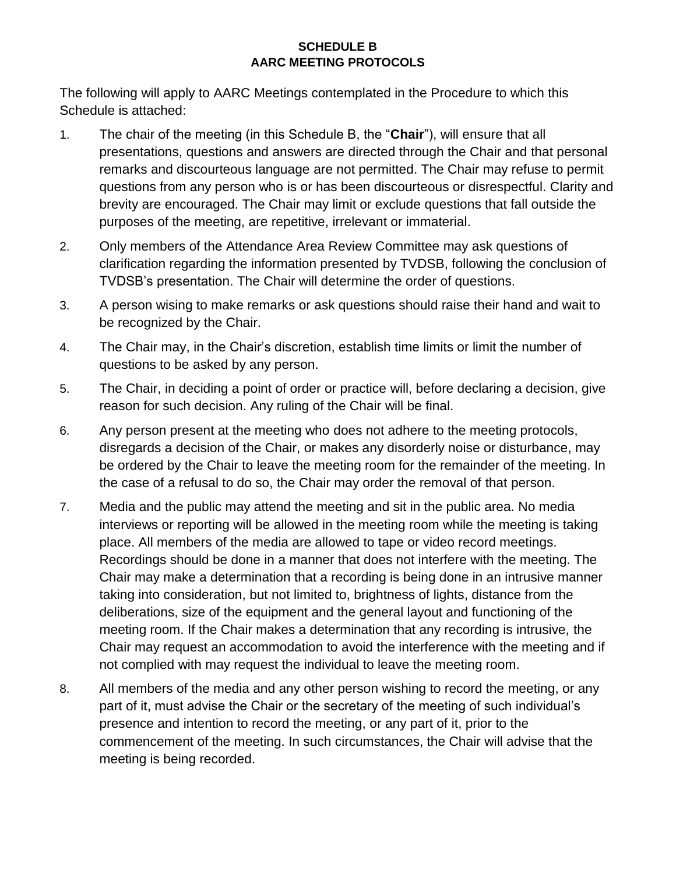### **SCHEDULE B AARC MEETING PROTOCOLS**

The following will apply to AARC Meetings contemplated in the Procedure to which this Schedule is attached:

- 1. The chair of the meeting (in this Schedule B, the "**Chair**"), will ensure that all presentations, questions and answers are directed through the Chair and that personal remarks and discourteous language are not permitted. The Chair may refuse to permit questions from any person who is or has been discourteous or disrespectful. Clarity and brevity are encouraged. The Chair may limit or exclude questions that fall outside the purposes of the meeting, are repetitive, irrelevant or immaterial.
- 2. Only members of the Attendance Area Review Committee may ask questions of clarification regarding the information presented by TVDSB, following the conclusion of TVDSB's presentation. The Chair will determine the order of questions.
- 3. A person wising to make remarks or ask questions should raise their hand and wait to be recognized by the Chair.
- 4. The Chair may, in the Chair's discretion, establish time limits or limit the number of questions to be asked by any person.
- 5. The Chair, in deciding a point of order or practice will, before declaring a decision, give reason for such decision. Any ruling of the Chair will be final.
- 6. Any person present at the meeting who does not adhere to the meeting protocols, disregards a decision of the Chair, or makes any disorderly noise or disturbance, may be ordered by the Chair to leave the meeting room for the remainder of the meeting. In the case of a refusal to do so, the Chair may order the removal of that person.
- 7. Media and the public may attend the meeting and sit in the public area. No media interviews or reporting will be allowed in the meeting room while the meeting is taking place. All members of the media are allowed to tape or video record meetings. Recordings should be done in a manner that does not interfere with the meeting. The Chair may make a determination that a recording is being done in an intrusive manner taking into consideration, but not limited to, brightness of lights, distance from the deliberations, size of the equipment and the general layout and functioning of the meeting room. If the Chair makes a determination that any recording is intrusive, the Chair may request an accommodation to avoid the interference with the meeting and if not complied with may request the individual to leave the meeting room.
- 8. All members of the media and any other person wishing to record the meeting, or any part of it, must advise the Chair or the secretary of the meeting of such individual's presence and intention to record the meeting, or any part of it, prior to the commencement of the meeting. In such circumstances, the Chair will advise that the meeting is being recorded.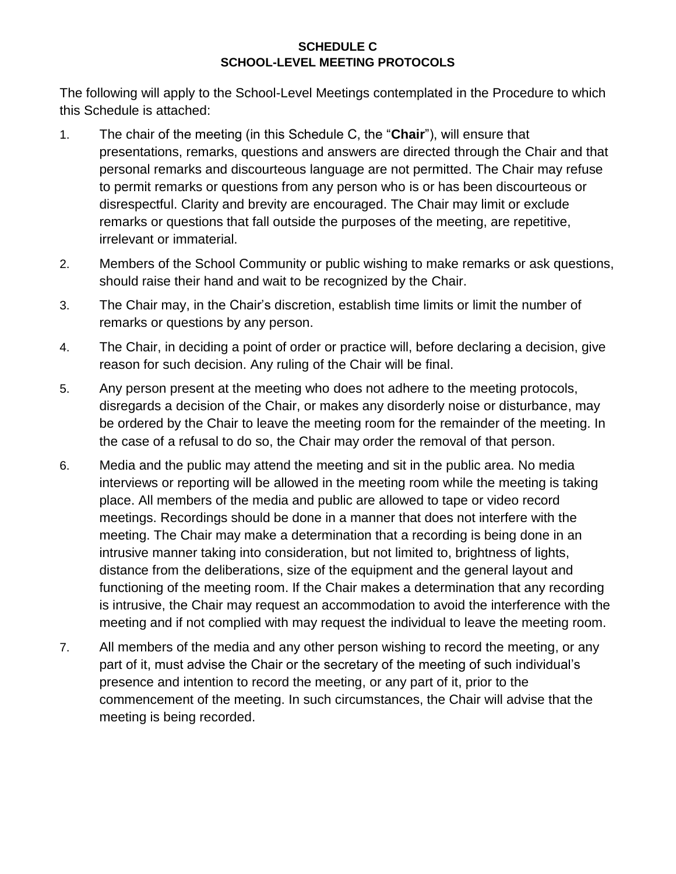### **SCHEDULE C SCHOOL-LEVEL MEETING PROTOCOLS**

The following will apply to the School-Level Meetings contemplated in the Procedure to which this Schedule is attached:

- 1. The chair of the meeting (in this Schedule C, the "**Chair**"), will ensure that presentations, remarks, questions and answers are directed through the Chair and that personal remarks and discourteous language are not permitted. The Chair may refuse to permit remarks or questions from any person who is or has been discourteous or disrespectful. Clarity and brevity are encouraged. The Chair may limit or exclude remarks or questions that fall outside the purposes of the meeting, are repetitive, irrelevant or immaterial.
- 2. Members of the School Community or public wishing to make remarks or ask questions, should raise their hand and wait to be recognized by the Chair.
- 3. The Chair may, in the Chair's discretion, establish time limits or limit the number of remarks or questions by any person.
- 4. The Chair, in deciding a point of order or practice will, before declaring a decision, give reason for such decision. Any ruling of the Chair will be final.
- 5. Any person present at the meeting who does not adhere to the meeting protocols, disregards a decision of the Chair, or makes any disorderly noise or disturbance, may be ordered by the Chair to leave the meeting room for the remainder of the meeting. In the case of a refusal to do so, the Chair may order the removal of that person.
- 6. Media and the public may attend the meeting and sit in the public area. No media interviews or reporting will be allowed in the meeting room while the meeting is taking place. All members of the media and public are allowed to tape or video record meetings. Recordings should be done in a manner that does not interfere with the meeting. The Chair may make a determination that a recording is being done in an intrusive manner taking into consideration, but not limited to, brightness of lights, distance from the deliberations, size of the equipment and the general layout and functioning of the meeting room. If the Chair makes a determination that any recording is intrusive, the Chair may request an accommodation to avoid the interference with the meeting and if not complied with may request the individual to leave the meeting room.
- 7. All members of the media and any other person wishing to record the meeting, or any part of it, must advise the Chair or the secretary of the meeting of such individual's presence and intention to record the meeting, or any part of it, prior to the commencement of the meeting. In such circumstances, the Chair will advise that the meeting is being recorded.